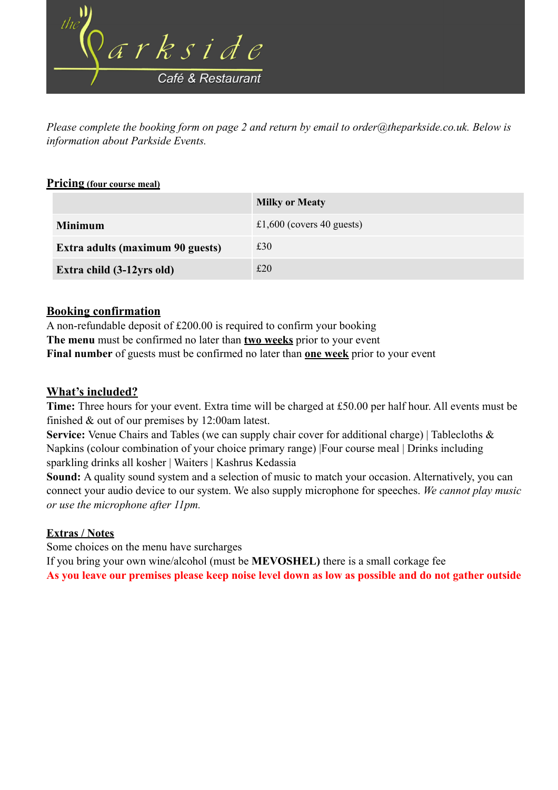

*Please complete the booking form on page 2 and return by email to order@theparkside.co.uk. Below is information about Parkside Events.*

### **Pricing (four course meal)**

|                                  | <b>Milky or Meaty</b>     |
|----------------------------------|---------------------------|
| <b>Minimum</b>                   | £1,600 (covers 40 guests) |
| Extra adults (maximum 90 guests) | £30                       |
| Extra child (3-12yrs old)        | £20                       |

### **Booking confirmation**

A non-refundable deposit of £200.00 is required to confirm your booking **The menu** must be confirmed no later than **two weeks** prior to your event **Final number** of guests must be confirmed no later than **one week** prior to your event

## **What's included?**

**Time:** Three hours for your event. Extra time will be charged at £50.00 per half hour. All events must be finished & out of our premises by 12:00am latest.

Service: Venue Chairs and Tables (we can supply chair cover for additional charge) | Tablecloths & Napkins (colour combination of your choice primary range) |Four course meal | Drinks including sparkling drinks all kosher | Waiters | Kashrus Kedassia

**Sound:** A quality sound system and a selection of music to match your occasion. Alternatively, you can connect your audio device to our system. We also supply microphone for speeches. *We cannot play music or use the microphone after 11pm.* 

# **Extras / Notes**

Some choices on the menu have surcharges

If you bring your own wine/alcohol (must be **MEVOSHEL)** there is a small corkage fee **As you leave our premises please keep noise level down as low as possible and do not gather outside**